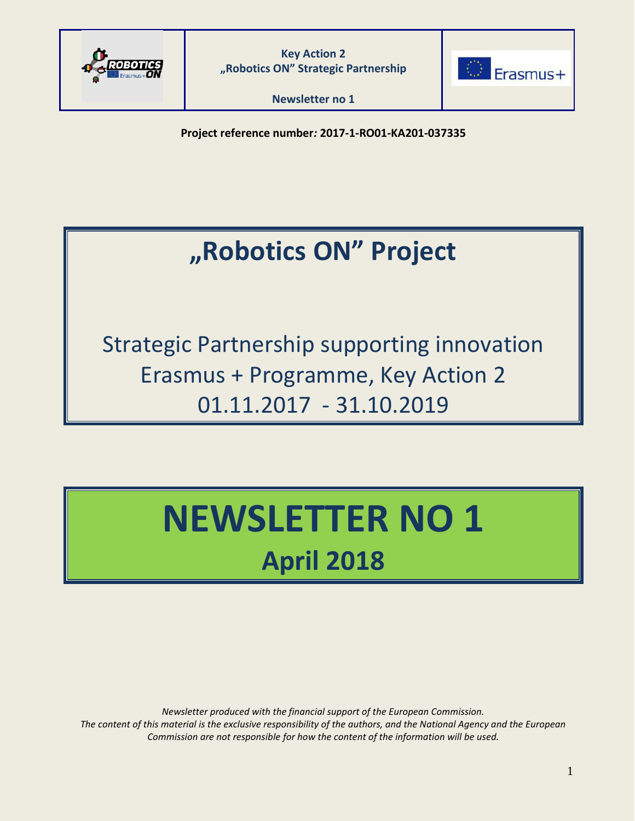



**Newsletter no 1**

**Project reference number***:* **2017-1-RO01-KA201-037335**

## **"Robotics ON" Project**

Strategic Partnership supporting innovation Erasmus + Programme, Key Action 2 01.11.2017 - 31.10.2019

# **NEWSLETTER NO 1 April 2018**

*Newsletter produced with the financial support of the European Commission. The content of this material is the exclusive responsibility of the authors, and the National Agency and the European Commission are not responsible for how the content of the information will be used.*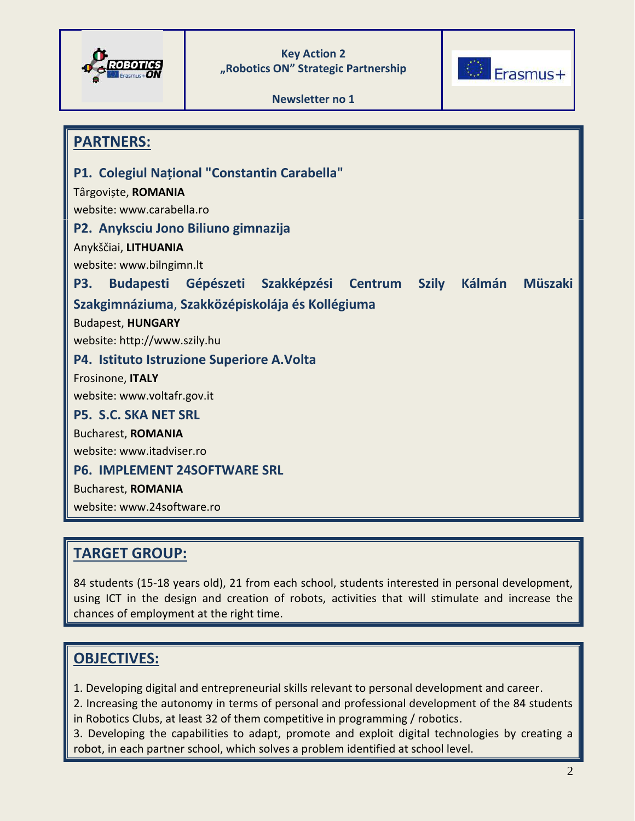





| <b>PARTNERS:</b>                                    |  |                                               |  |  |        |         |
|-----------------------------------------------------|--|-----------------------------------------------|--|--|--------|---------|
| <b>P1. Colegiul Național "Constantin Carabella"</b> |  |                                               |  |  |        |         |
| Târgoviște, ROMANIA                                 |  |                                               |  |  |        |         |
| website: www.carabella.ro                           |  |                                               |  |  |        |         |
| P2. Anyksciu Jono Biliuno gimnazija                 |  |                                               |  |  |        |         |
| Anykščiai, LITHUANIA                                |  |                                               |  |  |        |         |
| website: www.bilngimn.lt                            |  |                                               |  |  |        |         |
| <b>P3.</b>                                          |  | Budapesti Gépészeti Szakképzési Centrum Szily |  |  | Kálmán | Müszaki |
| Szakgimnáziuma, Szakközépiskolája és Kollégiuma     |  |                                               |  |  |        |         |
| <b>Budapest, HUNGARY</b>                            |  |                                               |  |  |        |         |
| website: http://www.szily.hu                        |  |                                               |  |  |        |         |
| P4. Istituto Istruzione Superiore A. Volta          |  |                                               |  |  |        |         |
| Frosinone, ITALY                                    |  |                                               |  |  |        |         |
| website: www.voltafr.gov.it                         |  |                                               |  |  |        |         |
| <b>P5. S.C. SKA NET SRL</b>                         |  |                                               |  |  |        |         |
| <b>Bucharest, ROMANIA</b>                           |  |                                               |  |  |        |         |
| website: www.itadviser.ro                           |  |                                               |  |  |        |         |
| <b>P6. IMPLEMENT 24SOFTWARE SRL</b>                 |  |                                               |  |  |        |         |
| <b>Bucharest, ROMANIA</b>                           |  |                                               |  |  |        |         |
| website: www.24software.ro                          |  |                                               |  |  |        |         |

## **TARGET GROUP:**

84 students (15-18 years old), 21 from each school, students interested in personal development, using ICT in the design and creation of robots, activities that will stimulate and increase the chances of employment at the right time.

## **OBJECTIVES:**

1. Developing digital and entrepreneurial skills relevant to personal development and career.

2. Increasing the autonomy in terms of personal and professional development of the 84 students in Robotics Clubs, at least 32 of them competitive in programming / robotics.

3. Developing the capabilities to adapt, promote and exploit digital technologies by creating a robot, in each partner school, which solves a problem identified at school level.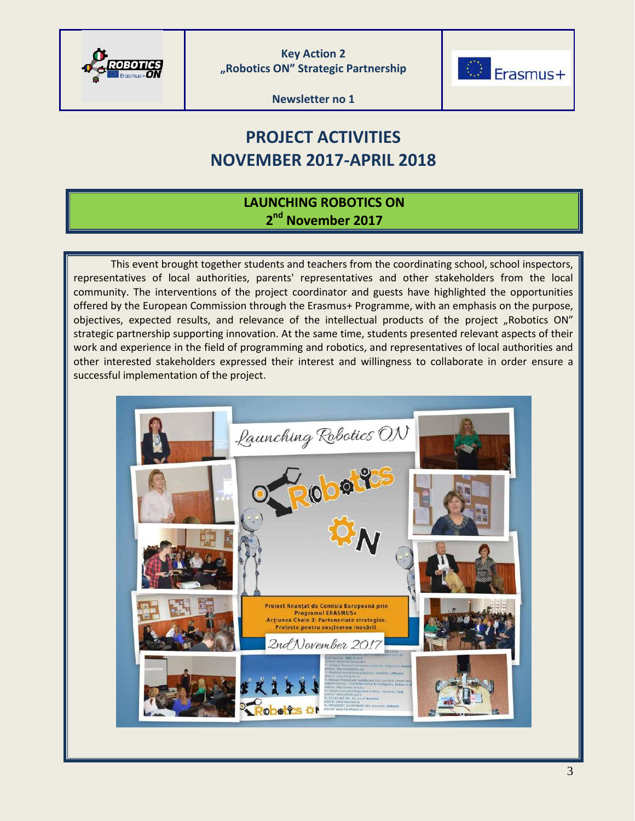

**Newsletter no 1**



## **PROJECT ACTIVITIES NOVEMBER 2017-APRIL 2018**

## **LAUNCHING ROBOTICS ON 2 nd November 2017**

This event brought together students and teachers from the coordinating school, school inspectors, representatives of local authorities, parents' representatives and other stakeholders from the local community. The interventions of the project coordinator and guests have highlighted the opportunities offered by the European Commission through the Erasmus+ Programme, with an emphasis on the purpose, objectives, expected results, and relevance of the intellectual products of the project "Robotics ON" strategic partnership supporting innovation. At the same time, students presented relevant aspects of their work and experience in the field of programming and robotics, and representatives of local authorities and other interested stakeholders expressed their interest and willingness to collaborate in order ensure a successful implementation of the project.

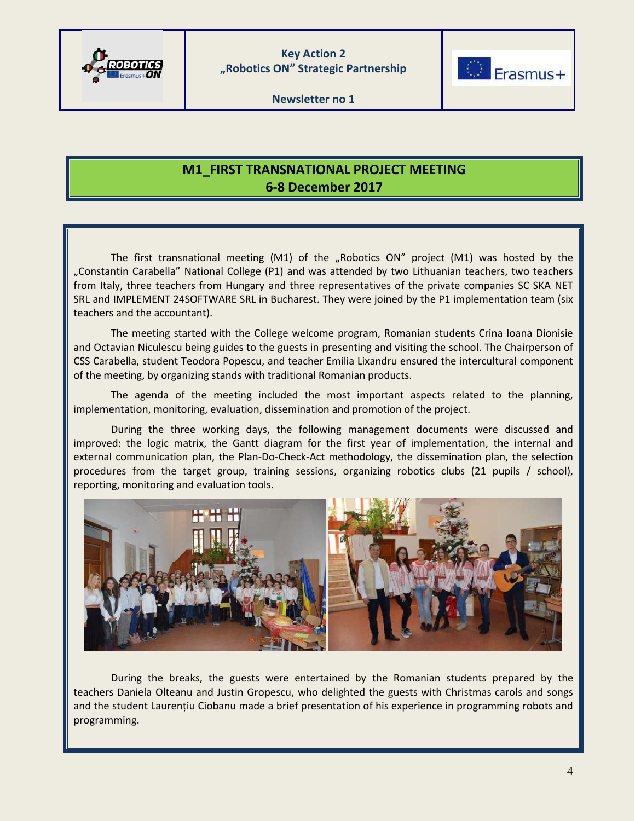

**Newsletter no 1**



#### **M1\_FIRST TRANSNATIONAL PROJECT MEETING 6-8 December 2017**

The first transnational meeting (M1) of the "Robotics ON" project (M1) was hosted by the "Constantin Carabella" National College (P1) and was attended by two Lithuanian teachers, two teachers from Italy, three teachers from Hungary and three representatives of the private companies SC SKA NET SRL and IMPLEMENT 24SOFTWARE SRL in Bucharest. They were joined by the P1 implementation team (six teachers and the accountant).

The meeting started with the College welcome program, Romanian students Crina Ioana Dionisie and Octavian Niculescu being guides to the guests in presenting and visiting the school. The Chairperson of CSS Carabella, student Teodora Popescu, and teacher Emilia Lixandru ensured the intercultural component of the meeting, by organizing stands with traditional Romanian products.

The agenda of the meeting included the most important aspects related to the planning, implementation, monitoring, evaluation, dissemination and promotion of the project.

During the three working days, the following management documents were discussed and improved: the logic matrix, the Gantt diagram for the first year of implementation, the internal and external communication plan, the Plan-Do-Check-Act methodology, the dissemination plan, the selection procedures from the target group, training sessions, organizing robotics clubs (21 pupils / school), reporting, monitoring and evaluation tools.



During the breaks, the guests were entertained by the Romanian students prepared by the teachers Daniela Olteanu and Justin Gropescu, who delighted the guests with Christmas carols and songs and the student Laurențiu Ciobanu made a brief presentation of his experience in programming robots and programming.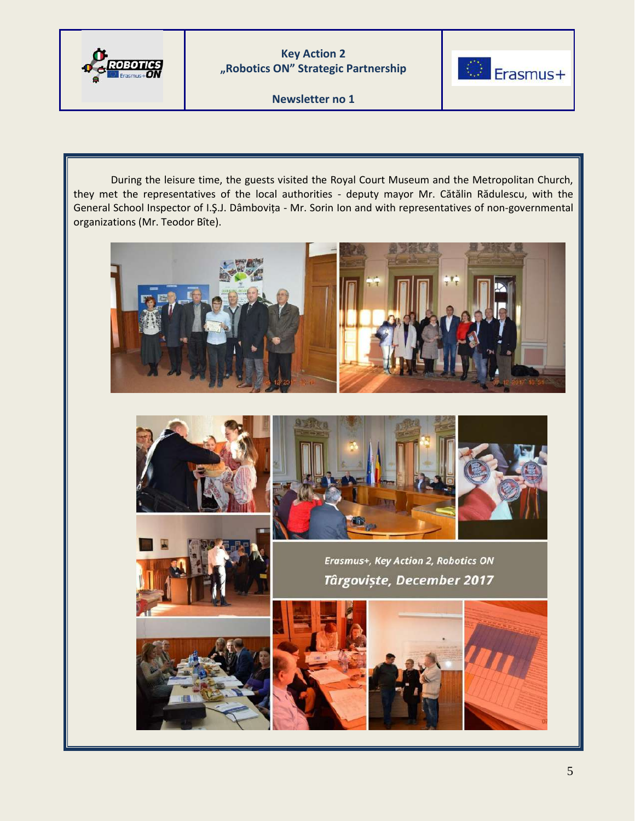

**Newsletter no 1**



During the leisure time, the guests visited the Royal Court Museum and the Metropolitan Church, they met the representatives of the local authorities - deputy mayor Mr. Cătălin Rădulescu, with the General School Inspector of I.Ş.J. Dâmbovița - Mr. Sorin Ion and with representatives of non-governmental organizations (Mr. Teodor Bîte).











Erasmus+, Key Action 2, Robotics ON Târgoviște, December 2017



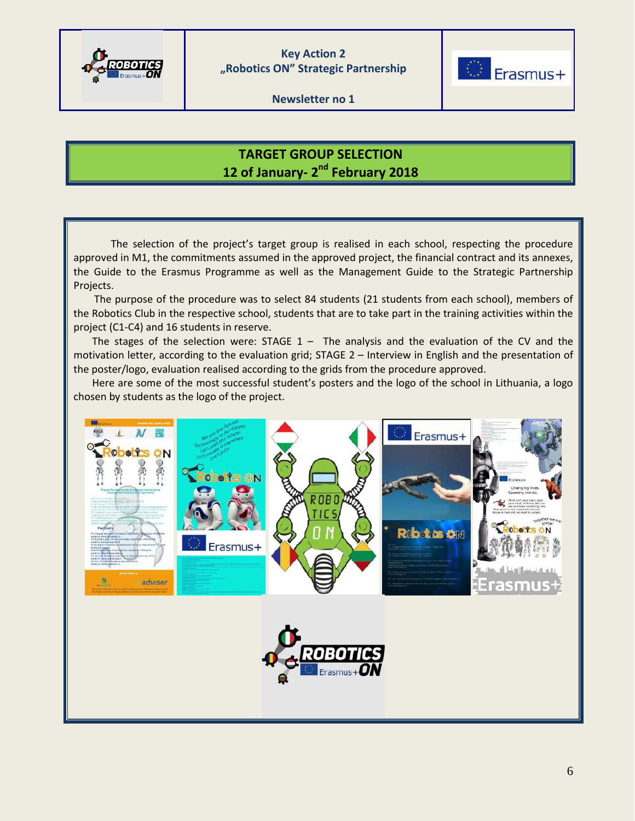

**Newsletter no 1**



## **TARGET GROUP SELECTION 12 of January- 2 nd February 2018**

The selection of the project's target group is realised in each school, respecting the procedure approved in M1, the commitments assumed in the approved project, the financial contract and its annexes, the Guide to the Erasmus Programme as well as the Management Guide to the Strategic Partnership Projects.

 The purpose of the procedure was to select 84 students (21 students from each school), members of the Robotics Club in the respective school, students that are to take part in the training activities within the project (C1-C4) and 16 students in reserve.

The stages of the selection were: STAGE  $1 -$  The analysis and the evaluation of the CV and the motivation letter, according to the evaluation grid; STAGE 2 – Interview in English and the presentation of the poster/logo, evaluation realised according to the grids from the procedure approved.

Here are some of the most successful student's posters and the logo of the school in Lithuania, a logo chosen by students as the logo of the project.

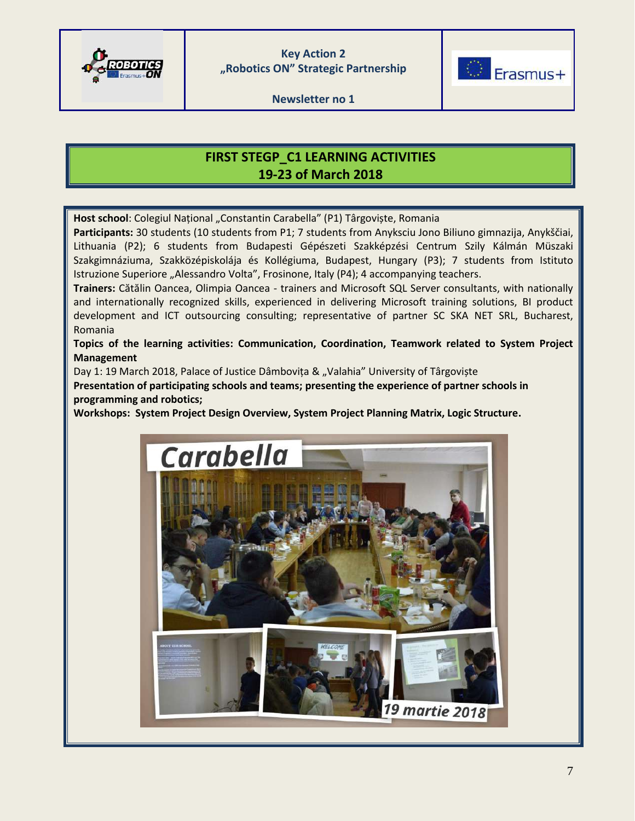

Erasmus+

**Newsletter no 1**

## **FIRST STEGP\_C1 LEARNING ACTIVITIES 19-23 of March 2018**

Host school: Colegiul Național "Constantin Carabella" (P1) Târgoviște, Romania

**Participants:** 30 students (10 students from P1; 7 students from Anyksciu Jono Biliuno gimnazija, Anykščiai, Lithuania (P2); 6 students from Budapesti Gépészeti Szakképzési Centrum Szily Kálmán Müszaki Szakgimnáziuma, Szakközépiskolája és Kollégiuma, Budapest, Hungary (P3); 7 students from Istituto Istruzione Superiore "Alessandro Volta", Frosinone, Italy (P4); 4 accompanying teachers.

**Trainers:** Cătălin Oancea, Olimpia Oancea - trainers and Microsoft SQL Server consultants, with nationally and internationally recognized skills, experienced in delivering Microsoft training solutions, BI product development and ICT outsourcing consulting; representative of partner SC SKA NET SRL, Bucharest, Romania

**Topics of the learning activities: Communication, Coordination, Teamwork related to System Project Management**

Day 1: 19 March 2018, Palace of Justice Dâmbovita & "Valahia" University of Târgoviște **Presentation of participating schools and teams; presenting the experience of partner schools in programming and robotics;**

**Workshops: System Project Design Overview, System Project Planning Matrix, Logic Structure.**

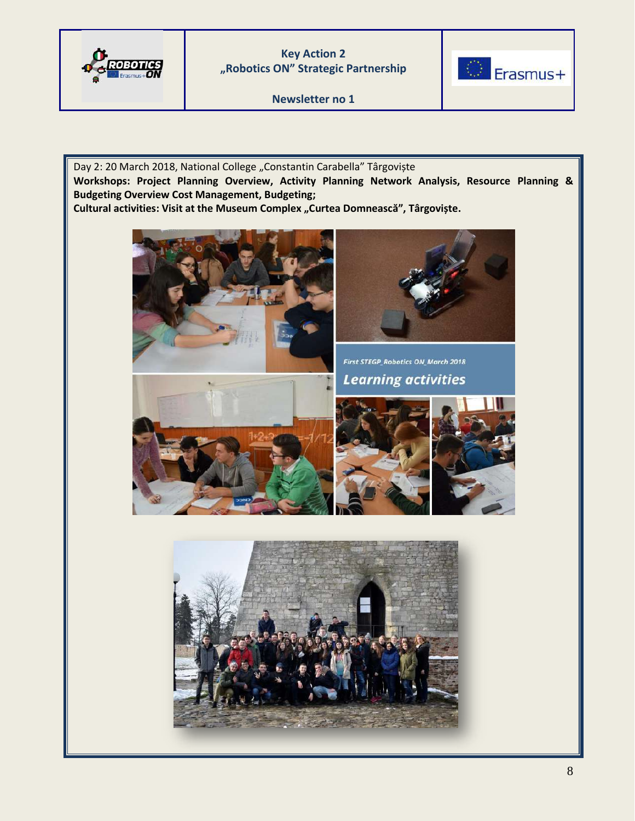



**Newsletter no 1**

Day 2: 20 March 2018, National College "Constantin Carabella" Târgoviște **Workshops: Project Planning Overview, Activity Planning Network Analysis, Resource Planning & Budgeting Overview Cost Management, Budgeting; Cultural activities: Visit at the Museum Complex "Curtea Domnească", Târgoviște.** 





**First STEGP\_Robotics ON\_March 2018 Learning activities** 





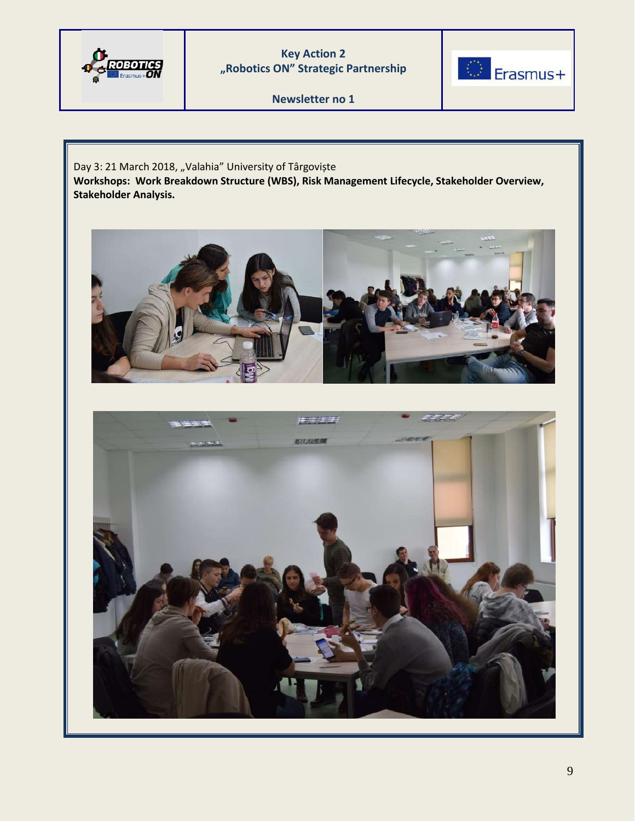





Day 3: 21 March 2018, "Valahia" University of Târgoviște **Workshops: Work Breakdown Structure (WBS), Risk Management Lifecycle, Stakeholder Overview, Stakeholder Analysis.**



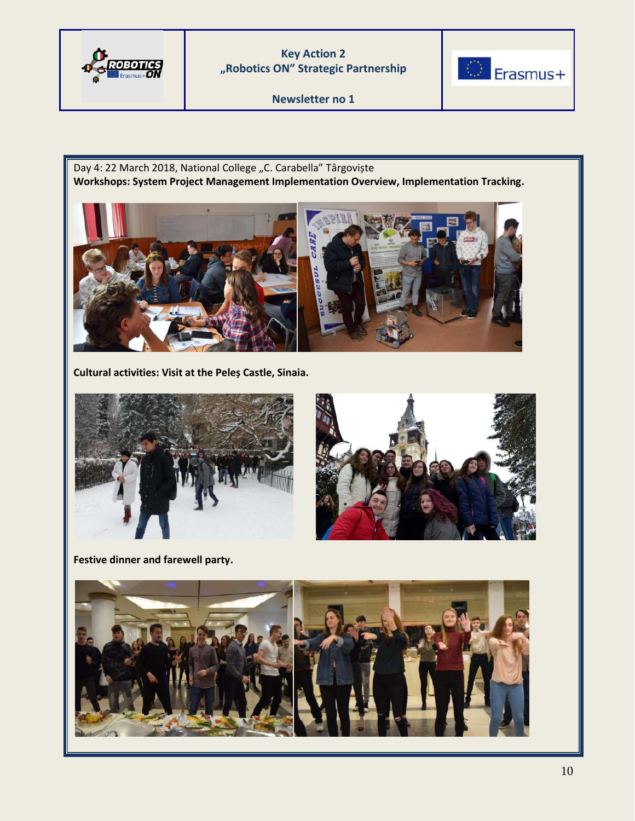



**Newsletter no 1**

Day 4: 22 March 2018, National College "C. Carabella" Târgoviște **Workshops: System Project Management Implementation Overview, Implementation Tracking.**



**Cultural activities: Visit at the Peleș Castle, Sinaia.**



**Festive dinner and farewell party.**

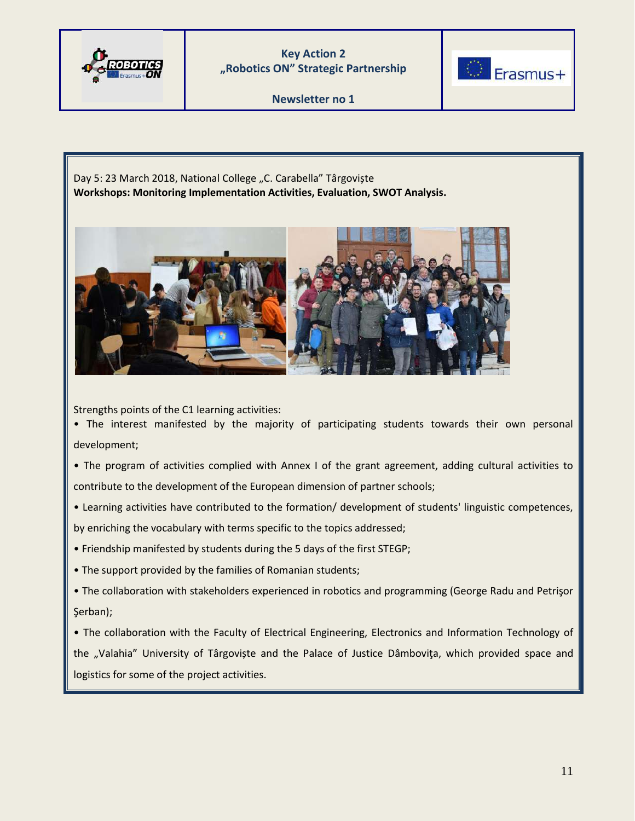





Day 5: 23 March 2018, National College "C. Carabella" Târgoviște **Workshops: Monitoring Implementation Activities, Evaluation, SWOT Analysis.**



Strengths points of the C1 learning activities:

• The interest manifested by the majority of participating students towards their own personal development;

• The program of activities complied with Annex I of the grant agreement, adding cultural activities to contribute to the development of the European dimension of partner schools;

- Learning activities have contributed to the formation/ development of students' linguistic competences, by enriching the vocabulary with terms specific to the topics addressed;
- Friendship manifested by students during the 5 days of the first STEGP;
- The support provided by the families of Romanian students;
- The collaboration with stakeholders experienced in robotics and programming (George Radu and Petrişor Şerban);

• The collaboration with the Faculty of Electrical Engineering, Electronics and Information Technology of the "Valahia" University of Târgoviște and the Palace of Justice Dâmbovița, which provided space and logistics for some of the project activities.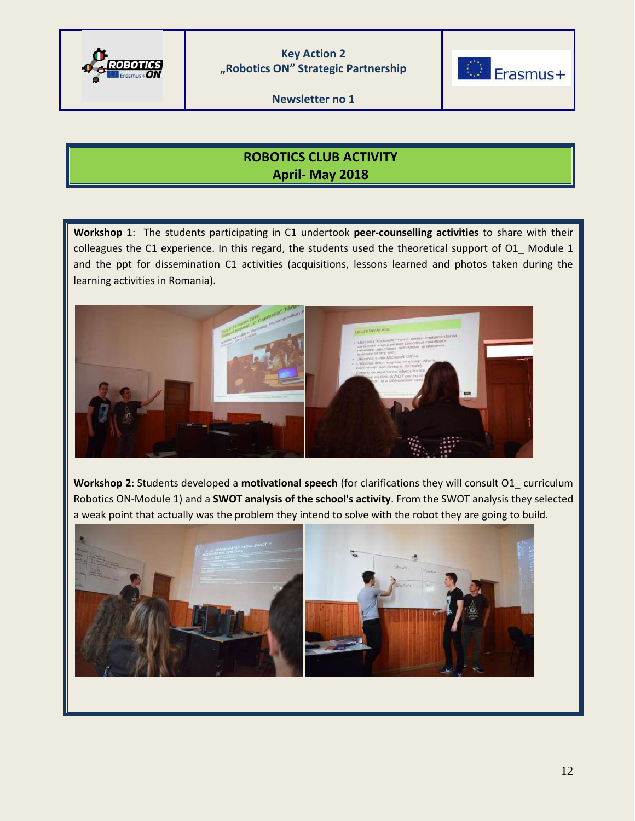

**Newsletter no 1**



## **ROBOTICS CLUB ACTIVITY April- May 2018**

**Workshop 1**: The students participating in C1 undertook **peer-counselling activities** to share with their colleagues the C1 experience. In this regard, the students used the theoretical support of O1\_ Module 1 and the ppt for dissemination C1 activities (acquisitions, lessons learned and photos taken during the learning activities in Romania).



**Workshop 2**: Students developed a **motivational speech** (for clarifications they will consult O1\_ curriculum Robotics ON-Module 1) and a **SWOT analysis of the school's activity**. From the SWOT analysis they selected a weak point that actually was the problem they intend to solve with the robot they are going to build.